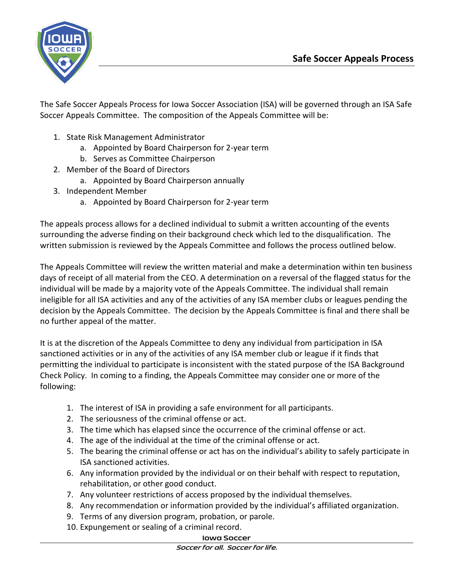

The Safe Soccer Appeals Process for Iowa Soccer Association (ISA) will be governed through an ISA Safe Soccer Appeals Committee. The composition of the Appeals Committee will be:

- 1. State Risk Management Administrator
	- a. Appointed by Board Chairperson for 2-year term
	- b. Serves as Committee Chairperson
- 2. Member of the Board of Directors
	- a. Appointed by Board Chairperson annually
- 3. Independent Member
	- a. Appointed by Board Chairperson for 2-year term

The appeals process allows for a declined individual to submit a written accounting of the events surrounding the adverse finding on their background check which led to the disqualification. The written submission is reviewed by the Appeals Committee and follows the process outlined below.

The Appeals Committee will review the written material and make a determination within ten business days of receipt of all material from the CEO. A determination on a reversal of the flagged status for the individual will be made by a majority vote of the Appeals Committee. The individual shall remain ineligible for all ISA activities and any of the activities of any ISA member clubs or leagues pending the decision by the Appeals Committee. The decision by the Appeals Committee is final and there shall be no further appeal of the matter.

It is at the discretion of the Appeals Committee to deny any individual from participation in ISA sanctioned activities or in any of the activities of any ISA member club or league if it finds that permitting the individual to participate is inconsistent with the stated purpose of the ISA Background Check Policy. In coming to a finding, the Appeals Committee may consider one or more of the following:

- 1. The interest of ISA in providing a safe environment for all participants.
- 2. The seriousness of the criminal offense or act.
- 3. The time which has elapsed since the occurrence of the criminal offense or act.
- 4. The age of the individual at the time of the criminal offense or act.
- 5. The bearing the criminal offense or act has on the individual's ability to safely participate in ISA sanctioned activities.
- 6. Any information provided by the individual or on their behalf with respect to reputation, rehabilitation, or other good conduct.
- 7. Any volunteer restrictions of access proposed by the individual themselves.
- 8. Any recommendation or information provided by the individual's affiliated organization.
- 9. Terms of any diversion program, probation, or parole.
- 10. Expungement or sealing of a criminal record.

## **Iowa Soccer**